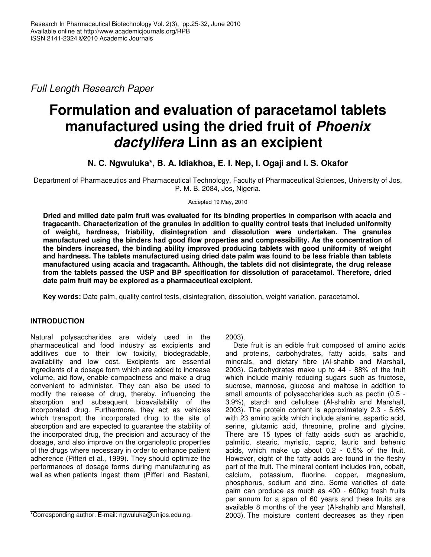*Full Length Research Paper*

# **Formulation and evaluation of paracetamol tablets manufactured using the dried fruit of** *Phoenix dactylifera* **Linn as an excipient**

# **N. C. Ngwuluka\*, B. A. Idiakhoa, E. I. Nep, I. Ogaji and I. S. Okafor**

Department of Pharmaceutics and Pharmaceutical Technology, Faculty of Pharmaceutical Sciences, University of Jos, P. M. B. 2084, Jos, Nigeria.

Accepted 19 May, 2010

**Dried and milled date palm fruit was evaluated for its binding properties in comparison with acacia and tragacanth. Characterization of the granules in addition to quality control tests that included uniformity of weight, hardness, friability, disintegration and dissolution were undertaken. The granules manufactured using the binders had good flow properties and compressibility. As the concentration of the binders increased, the binding ability improved producing tablets with good uniformity of weight and hardness. The tablets manufactured using dried date palm was found to be less friable than tablets manufactured using acacia and tragacanth. Although, the tablets did not disintegrate, the drug release from the tablets passed the USP and BP specification for dissolution of paracetamol. Therefore, dried date palm fruit may be explored as a pharmaceutical excipient.**

**Key words:** Date palm, quality control tests, disintegration, dissolution, weight variation, paracetamol.

# **INTRODUCTION**

Natural polysaccharides are widely used in the pharmaceutical and food industry as excipients and additives due to their low toxicity, biodegradable, availability and low cost. Excipients are essential ingredients of a dosage form which are added to increase volume, aid flow, enable compactness and make a drug convenient to administer. They can also be used to modify the release of drug, thereby, influencing the absorption and subsequent bioavailability of the incorporated drug. Furthermore, they act as vehicles which transport the incorporated drug to the site of absorption and are expected to guarantee the stability of the incorporated drug, the precision and accuracy of the dosage, and also improve on the organoleptic properties of the drugs where necessary in order to enhance patient adherence (Pifferi et al., 1999). They should optimize the performances of dosage forms during manufacturing as well as when patients ingest them (Pifferi and Restani,

\*Corresponding author. E-mail: ngwuluka@unijos.edu.ng.

2003).

Date fruit is an edible fruit composed of amino acids and proteins, carbohydrates, fatty acids, salts and minerals, and dietary fibre (Al-shahib and Marshall, 2003). Carbohydrates make up to 44 - 88% of the fruit which include mainly reducing sugars such as fructose, sucrose, mannose, glucose and maltose in addition to small amounts of polysaccharides such as pectin (0.5 - 3.9%), starch and cellulose (Al-shahib and Marshall, 2003). The protein content is approximately 2.3 - 5.6% with 23 amino acids which include alanine, aspartic acid, serine, glutamic acid, threonine, proline and glycine. There are 15 types of fatty acids such as arachidic, palmitic, stearic, myristic, capric, lauric and behenic acids, which make up about 0.2 - 0.5% of the fruit. However, eight of the fatty acids are found in the fleshy part of the fruit. The mineral content includes iron, cobalt, calcium, potassium, fluorine, copper, magnesium, phosphorus, sodium and zinc. Some varieties of date palm can produce as much as 400 - 600kg fresh fruits per annum for a span of 60 years and these fruits are available 8 months of the year (Al-shahib and Marshall, 2003). The moisture content decreases as they ripen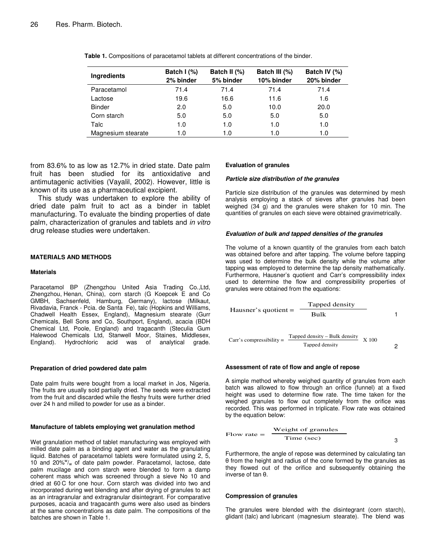| <b>Ingredients</b> | Batch $(%)$<br>2% binder | Batch II (%)<br>5% binder | Batch III (%)<br>10% binder | Batch IV (%)<br>20% binder |  |  |
|--------------------|--------------------------|---------------------------|-----------------------------|----------------------------|--|--|
| Paracetamol        | 71.4                     | 71.4                      | 71.4                        | 71.4                       |  |  |
| Lactose            | 19.6                     | 16.6                      | 11.6                        | 1.6                        |  |  |
| <b>Binder</b>      | 2.0                      | 5.0                       | 10.0                        | 20.0                       |  |  |
| Corn starch        | 5.0                      | 5.0                       | 5.0                         | 5.0                        |  |  |
| Talc               | 1.0                      | 1.0                       | 1.0                         | 1.0                        |  |  |
| Magnesium stearate | 1.0                      | 1.0                       | 1.0                         | 1.0                        |  |  |

**Table 1.** Compositions of paracetamol tablets at different concentrations of the binder.

from 83.6% to as low as 12.7% in dried state. Date palm fruit has been studied for its antioxidative and antimutagenic activities (Vayalil, 2002). However, little is known of its use as a pharmaceutical excipient.

This study was undertaken to explore the ability of dried date palm fruit to act as a binder in tablet manufacturing. To evaluate the binding properties of date palm, characterization of granules and tablets and *in vitro* drug release studies were undertaken.

#### **MATERIALS AND METHODS**

#### **Materials**

Paracetamol BP (Zhengzhou United Asia Trading Co.,Ltd, Zhengzhou, Henan, China), corn starch (G Koepcek E and Co GMBH, Sachsenfeld, Hamburg, Germany), lactose (Milkaut, Rivadavia, Franck - Pcia. de Santa Fe), talc (Hopkins and Williams, Chadwell Health Essex, England), Magnesium stearate (Gurr Chemicals, Bell Sons and Co, Southport, England), acacia (BDH Chemical Ltd, Poole, England) and tragacanth (Steculia Gum Halewood Chemicals Ltd, Stanwell Moor, Staines, Middlesex, England). Hydrochloric acid was of analytical grade.

#### **Preparation of dried powdered date palm**

Date palm fruits were bought from a local market in Jos, Nigeria. The fruits are usually sold partially dried. The seeds were extracted from the fruit and discarded while the fleshy fruits were further dried over 24 h and milled to powder for use as a binder.

#### **Manufacture of tablets employing wet granulation method**

Wet granulation method of tablet manufacturing was employed with milled date palm as a binding agent and water as the granulating liquid. Batches of paracetamol tablets were formulated using 2, 5, 10 and 20% w /<sup>w</sup> of date palm powder. Paracetamol, lactose, date palm mucilage and corn starch were blended to form a damp coherent mass which was screened through a sieve No 10 and dried at 60 ˚C for one hour. Corn starch was divided into two and incorporated during wet blending and after drying of granules to act as an intragranular and extragranular disintegrant. For comparative purposes, acacia and tragacanth gums were also used as binders at the same concentrations as date palm. The compositions of the batches are shown in Table 1.

#### **Evaluation of granules**

#### *Particle size distribution of the granules*

Particle size distribution of the granules was determined by mesh analysis employing a stack of sieves after granules had been weighed (34 g) and the granules were shaken for 10 min. The quantities of granules on each sieve were obtained gravimetrically.

#### *Evaluation of bulk and tapped densities of the granules*

The volume of a known quantity of the granules from each batch was obtained before and after tapping. The volume before tapping was used to determine the bulk density while the volume after tapping was employed to determine the tap density mathematically. Furthermore, Hausner's quotient and Carr's compressibility index used to determine the flow and compressibility properties of granules were obtained from the equations:

Hausner's quotient = 
$$
\frac{\text{Tapped density}}{\text{Bulk}}
$$

\nCar's compressibility =  $\frac{\text{Tapped density} - \text{Bulk density}}{\text{Tapped density}}$  X 100

#### **Assessment of rate of flow and angle of repose**

A simple method whereby weighed quantity of granules from each batch was allowed to flow through an orifice (funnel) at a fixed height was used to determine flow rate. The time taken for the weighed granules to flow out completely from the orifice was recorded. This was performed in triplicate. Flow rate was obtained by the equation below:

Flow rate = 
$$
\frac{\text{Weight of granules}}{\text{Time (sec)}}
$$
 3

Furthermore, the angle of repose was determined by calculating tan  $\theta$  from the height and radius of the cone formed by the granules as they flowed out of the orifice and subsequently obtaining the inverse of  $tan \theta$ .

#### **Compression of granules**

The granules were blended with the disintegrant (corn starch), glidant (talc) and lubricant (magnesium stearate). The blend was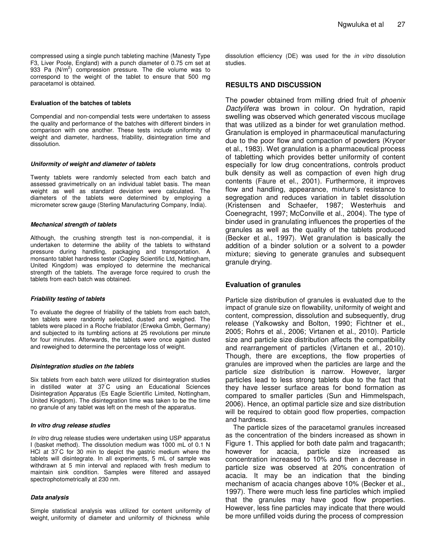compressed using a single punch tableting machine (Manesty Type F3, Liver Poole, England) with a punch diameter of 0.75 cm set at 933 Pa (N/m<sup>2</sup>) compression pressure. The die volume was to correspond to the weight of the tablet to ensure that 500 mg paracetamol is obtained.

#### **Evaluation of the batches of tablets**

Compendial and non-compendial tests were undertaken to assess the quality and performance of the batches with different binders in comparison with one another. These tests include uniformity of weight and diameter, hardness, friability, disintegration time and dissolution.

#### *Uniformity of weight and diameter of tablets*

Twenty tablets were randomly selected from each batch and assessed gravimetrically on an individual tablet basis. The mean weight as well as standard deviation were calculated. The diameters of the tablets were determined by employing a micrometer screw gauge (Sterling Manufacturing Company, India).

#### *Mechanical strength of tablets*

Although, the crushing strength test is non-compendial, it is undertaken to determine the ability of the tablets to withstand pressure during handling, packaging and transportation. A monsanto tablet hardness tester (Copley Scientific Ltd, Nottingham, United Kingdom) was employed to determine the mechanical strength of the tablets. The average force required to crush the tablets from each batch was obtained.

#### *Friability testing of tablets*

To evaluate the degree of friability of the tablets from each batch, ten tablets were randomly selected, dusted and weighed. The tablets were placed in a Roche friabilator (Erweka Gmbh, Germany) and subjected to its tumbling actions at 25 revolutions per minute for four minutes. Afterwards, the tablets were once again dusted and reweighed to determine the percentage loss of weight.

#### *Disintegration studies on the tablets*

Six tablets from each batch were utilized for disintegration studies in distilled water at 37 ˚C using an Educational Sciences Disintegration Apparatus (Es Eagle Scientific Limited, Nottingham, United Kingdom). The disintegration time was taken to be the time no granule of any tablet was left on the mesh of the apparatus.

#### *In vitro drug release studies*

*In vitro* drug release studies were undertaken using USP apparatus I (basket method). The dissolution medium was 1000 mL of 0.1 N HCI at 37<sup>°</sup>C for 30 min to depict the gastric medium where the tablets will disintegrate. In all experiments, 5 mL of sample was withdrawn at 5 min interval and replaced with fresh medium to maintain sink condition. Samples were filtered and assayed spectrophotometrically at 230 nm.

#### *Data analysis*

Simple statistical analysis was utilized for content uniformity of weight, uniformity of diameter and uniformity of thickness while

dissolution efficiency (DE) was used for the *in vitro* dissolution studies.

## **RESULTS AND DISCUSSION**

The powder obtained from milling dried fruit of *phoenix Dactylifera* was brown in colour. On hydration, rapid swelling was observed which generated viscous mucilage that was utilized as a binder for wet granulation method. Granulation is employed in pharmaceutical manufacturing due to the poor flow and compaction of powders (Krycer et al., 1983). Wet granulation is a pharmaceutical process of tabletting which provides better uniformity of content especially for low drug concentrations, controls product bulk density as well as compaction of even high drug contents (Faure et el., 2001). Furthermore, it improves flow and handling, appearance, mixture's resistance to segregation and reduces variation in tablet dissolution (Kristensen and Schaefer, 1987; Westerhuis and Coenegracht, 1997; McConville et al., 2004). The type of binder used in granulating influences the properties of the granules as well as the quality of the tablets produced (Becker et al., 1997). Wet granulation is basically the addition of a binder solution or a solvent to a powder mixture; sieving to generate granules and subsequent granule drying.

### **Evaluation of granules**

Particle size distribution of granules is evaluated due to the impact of granule size on flowability, uniformity of weight and content, compression, dissolution and subsequently, drug release (Yalkowsky and Bolton, 1990; Fichtner et el., 2005; Rohrs et al., 2006; Virtanen et al., 2010). Particle size and particle size distribution affects the compatibility and rearrangement of particles (Virtanen et al., 2010). Though, there are exceptions, the flow properties of granules are improved when the particles are large and the particle size distribution is narrow. However, larger particles lead to less strong tablets due to the fact that they have lesser surface areas for bond formation as compared to smaller particles (Sun and Himmelspach, 2006). Hence, an optimal particle size and size distribution will be required to obtain good flow properties, compaction and hardness.

The particle sizes of the paracetamol granules increased as the concentration of the binders increased as shown in Figure 1. This applied for both date palm and tragacanth; however for acacia, particle size increased as concentration increased to 10% and then a decrease in particle size was observed at 20% concentration of acacia. It may be an indication that the binding mechanism of acacia changes above 10% (Becker et al., 1997). There were much less fine particles which implied that the granules may have good flow properties. However, less fine particles may indicate that there would be more unfilled voids during the process of compression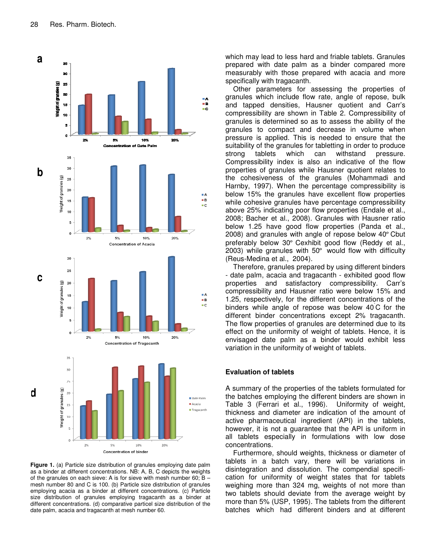

**Figure 1.** (a) Particle size distribution of granules employing date palm as a binder at different concentrations. NB: A, B, C depicts the weights of the granules on each sieve: A is for sieve with mesh number 60;  $B$ mesh number 80 and C is 100. (b) Particle size distribution of granules employing acacia as a binder at different concentrations. (c) Particle size distribution of granules employing tragacanth as a binder at different concentrations. (d) comparative particel size distribution of the date palm, acacia and tragacanth at mesh number 60.

which may lead to less hard and friable tablets. Granules prepared with date palm as a binder compared more measurably with those prepared with acacia and more specifically with tragacanth.

Other parameters for assessing the properties of granules which include flow rate, angle of repose, bulk and tapped densities, Hausner quotient and Carr's compressibility are shown in Table 2. Compressibility of granules is determined so as to assess the ability of the granules to compact and decrease in volume when pressure is applied. This is needed to ensure that the suitability of the granules for tabletting in order to produce strong tablets which can withstand pressure. Compressibility index is also an indicative of the flow properties of granules while Hausner quotient relates to the cohesiveness of the granules (Mohammadi and Harnby, 1997). When the percentage compressibility is below 15% the granules have excellent flow properties while cohesive granules have percentage compressibility above 25% indicating poor flow properties (Endale et al., 2008; Bacher et al., 2008). Granules with Hausner ratio below 1.25 have good flow properties (Panda et al., 2008) and granules with angle of repose below 40º Cbut preferably below 30º Cexhibit good flow (Reddy et al., 2003) while granules with 50º would flow with difficulty (Reus-Medina et al., 2004).

Therefore, granules prepared by using different binders - date palm, acacia and tragacanth - exhibited good flow properties and satisfactory compressibility. Carr's compressibility and Hausner ratio were below 15% and 1.25, respectively, for the different concentrations of the binders while angle of repose was below 40 C for the different binder concentrations except 2% tragacanth. The flow properties of granules are determined due to its effect on the uniformity of weight of tablets. Hence, it is envisaged date palm as a binder would exhibit less variation in the uniformity of weight of tablets.

# **Evaluation of tablets**

A summary of the properties of the tablets formulated for the batches employing the different binders are shown in Table 3 (Ferrari et al., 1996). Uniformity of weight, thickness and diameter are indication of the amount of active pharmaceutical ingredient (API) in the tablets, however, it is not a guarantee that the API is uniform in all tablets especially in formulations with low dose concentrations.

Furthermore, should weights, thickness or diameter of tablets in a batch vary, there will be variations in disintegration and dissolution. The compendial specification for uniformity of weight states that for tablets weighing more than 324 mg, weights of not more than two tablets should deviate from the average weight by more than 5% (USP, 1995). The tablets from the different batches which had different binders and at different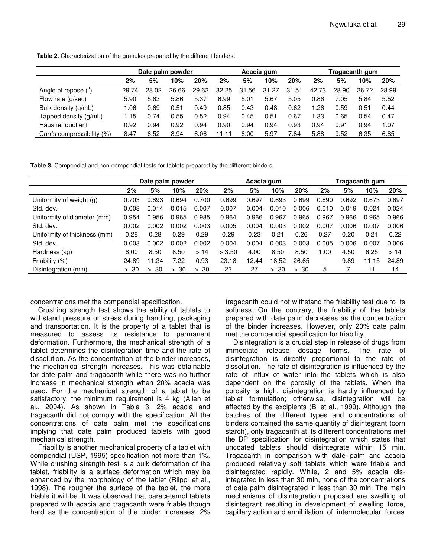**Table 2.** Characterization of the granules prepared by the different binders.

|                            | Date palm powder |       |       | Acacia gum |       |           |       | Tragacanth gum |       |       |       |       |
|----------------------------|------------------|-------|-------|------------|-------|-----------|-------|----------------|-------|-------|-------|-------|
|                            | 2%               | 5%    | 10%   | 20%        | 2%    | 5%        | 10%   | 20%            | 2%    | 5%    | 10%   | 20%   |
| Angle of repose $(^\circ)$ | 29.74            | 28.02 | 26.66 | 29.62      | 32.25 | .56<br>31 | 31.27 | 31.51          | 42.73 | 28.90 | 26.72 | 28.99 |
| Flow rate (g/sec)          | 5.90             | 5.63  | 5.86  | 5.37       | 6.99  | 5.01      | 5.67  | 5.05           | 0.86  | 7.05  | 5.84  | 5.52  |
| Bulk density (g/mL)        | .06              | 0.69  | 0.51  | 0.49       | 0.85  | 0.43      | 0.48  | 0.62           | 1.26  | 0.59  | 0.51  | 0.44  |
| Tapped density (g/mL)      | 1.15             | 0.74  | 0.55  | 0.52       | 0.94  | 0.45      | 0.51  | 0.67           | 1.33  | 0.65  | 0.54  | 0.47  |
| Hausner quotient           | 0.92             | 0.94  | 0.92  | 0.94       | 0.90  | 0.94      | 0.94  | 0.93           | 0.94  | 0.91  | 0.94  | 1.07  |
| Carr's compressibility (%) | 8.47             | 6.52  | 8.94  | 6.06       | 11.11 | 6.00      | 5.97  | 7.84           | 5.88  | 9.52  | 6.35  | 6.85  |

**Table 3.** Compendial and non-compendial tests for tablets prepared by the different binders.

|                              | Date palm powder |              |              |       | Acacia gum |       |       |               | Tragacanth gum           |       |              |       |
|------------------------------|------------------|--------------|--------------|-------|------------|-------|-------|---------------|--------------------------|-------|--------------|-------|
|                              | 2%               | 5%           | 10%          | 20%   | 2%         | 5%    | 10%   | 20%           | 2%                       | 5%    | 10%          | 20%   |
| Uniformity of weight (g)     | 0.703            | 0.693        | 0.694        | 0.700 | 0.699      | 0.697 | 0.693 | 0.699         | 0.690                    | 0.692 | 0.673        | 0.697 |
| Std. dev.                    | 0.008            | 0.014        | 0.015        | 0.007 | 0.007      | 0.004 | 0.010 | 0.006         | 0.010                    | 0.019 | 0.024        | 0.024 |
| Uniformity of diameter (mm)  | 0.954            | 0.956        | 0.965        | 0.985 | 0.964      | 0.966 | 0.967 | 0.965         | 0.967                    | 0.966 | 0.965        | 0.966 |
| Std. dev.                    | 0.002            | 0.002        | 0.002        | 0.003 | 0.005      | 0.004 | 0.003 | 0.002         | 0.007                    | 0.006 | 0.007        | 0.006 |
| Uniformity of thickness (mm) | 0.28             | 0.28         | 0.29         | 0.29  | 0.29       | 0.23  | 0.21  | 0.26          | 0.27                     | 0.20  | 0.21         | 0.22  |
| Std. dev.                    | 0.003            | 0.002        | 0.002        | 0.002 | 0.004      | 0.004 | 0.003 | 0.003         | 0.005                    | 0.006 | 0.007        | 0.006 |
| Hardness (kg)                | 6.00             | 8.50         | 8.50         | >14   | > 3.50     | 4.00  | 8.50  | 8.50          | .00                      | 4.50  | 6.25         | >14   |
| Friability (%)               | 24.89            | 11.34        | 7.22         | 0.93  | 23.18      | 12.44 | 18.52 | 26.65         | $\overline{\phantom{a}}$ | 9.89  | 11.15        | 24.89 |
| Disintegration (min)         | > 30             | 30<br>$\geq$ | 30<br>$\geq$ | > 30  | 23         | 27    | > 30  | -30<br>$\geq$ | 5                        |       | $\mathbf{1}$ | 14    |

concentrations met the compendial specification.

Crushing strength test shows the ability of tablets to withstand pressure or stress during handling, packaging and transportation. It is the property of a tablet that is measured to assess its resistance to permanent deformation. Furthermore, the mechanical strength of a tablet determines the disintegration time and the rate of dissolution. As the concentration of the binder increases, the mechanical strength increases. This was obtainable for date palm and tragacanth while there was no further increase in mechanical strength when 20% acacia was used. For the mechanical strength of a tablet to be satisfactory, the minimum requirement is 4 kg (Allen et al., 2004). As shown in Table 3, 2% acacia and tragacanth did not comply with the specification. All the concentrations of date palm met the specifications implying that date palm produced tablets with good mechanical strength.

Friability is another mechanical property of a tablet with compendial (USP, 1995) specification not more than 1%. While crushing strength test is a bulk deformation of the tablet, friability is a surface deformation which may be enhanced by the morphology of the tablet (Riippi et al., 1998). The rougher the surface of the tablet, the more friable it will be. It was observed that paracetamol tablets prepared with acacia and tragacanth were friable though hard as the concentration of the binder increases. 2%

tragacanth could not withstand the friability test due to its softness. On the contrary, the friability of the tablets prepared with date palm decreases as the concentration of the binder increases. However, only 20% date palm met the compendial specification for friability.

Disintegration is a crucial step in release of drugs from immediate release dosage forms. The rate of disintegration is directly proportional to the rate of dissolution. The rate of disintegration is influenced by the rate of influx of water into the tablets which is also dependent on the porosity of the tablets. When the porosity is high, disintegration is hardly influenced by tablet formulation; otherwise, disintegration will be affected by the excipients (Bi et al., 1999). Although, the batches of the different types and concentrations of binders contained the same quantity of disintegrant (corn starch), only tragacanth at its different concentrations met the BP specification for disintegration which states that uncoated tablets should disintegrate within 15 min. Tragacanth in comparison with date palm and acacia produced relatively soft tablets which were friable and disintegrated rapidly. While, 2 and 5% acacia disintegrated in less than 30 min, none of the concentrations of date palm disintegrated in less than 30 min. The main mechanisms of disintegration proposed are swelling of disintegrant resulting in development of swelling force, capillary action and annihilation of intermolecular forces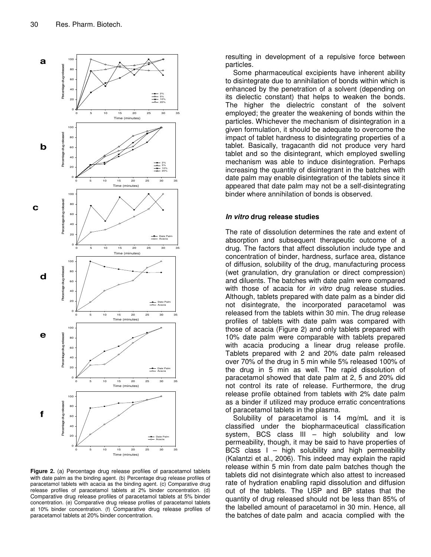

**Figure 2.** (a) Percentage drug release profiles of paracetamol tablets with date palm as the binding agent. (b) Percentage drug release profiles of paracetamol tablets with acacia as the binding agent. (c) Comparative drug release profiles of paracetamol tablets at 2% binder concentration. (d) Comparative drug release profiles of paracetamol tablets at 5% binder concentration. (e) Comparative drug release profiles of paracetamol tablets at 10% binder concentration. (f) Comparative drug release profiles of paracetamol tablets at 20% binder concentration.

resulting in development of a repulsive force between particles.

Some pharmaceutical excipients have inherent ability to disintegrate due to annihilation of bonds within which is enhanced by the penetration of a solvent (depending on its dielectic constant) that helps to weaken the bonds. The higher the dielectric constant of the solvent employed; the greater the weakening of bonds within the particles. Whichever the mechanism of disintegration in a given formulation, it should be adequate to overcome the impact of tablet hardness to disintegrating properties of a tablet. Basically, tragacanth did not produce very hard tablet and so the disintegrant, which employed swelling mechanism was able to induce disintegration. Perhaps increasing the quantity of disintegrant in the batches with date palm may enable disintegration of the tablets since it appeared that date palm may not be a self-disintegrating binder where annihilation of bonds is observed.

## *In vitro* **drug release studies**

The rate of dissolution determines the rate and extent of absorption and subsequent therapeutic outcome of a drug. The factors that affect dissolution include type and concentration of binder, hardness, surface area, distance of diffusion, solubility of the drug, manufacturing process (wet granulation, dry granulation or direct compression) and diluents. The batches with date palm were compared with those of acacia for *in vitro* drug release studies. Although, tablets prepared with date palm as a binder did not disintegrate, the incorporated paracetamol was released from the tablets within 30 min. The drug release profiles of tablets with date palm was compared with those of acacia (Figure 2) and only tablets prepared with 10% date palm were comparable with tablets prepared with acacia producing a linear drug release profile. Tablets prepared with 2 and 20% date palm released over 70% of the drug in 5 min while 5% released 100% of the drug in 5 min as well. The rapid dissolution of paracetamol showed that date palm at 2, 5 and 20% did not control its rate of release. Furthermore, the drug release profile obtained from tablets with 2% date palm as a binder if utilized may produce erratic concentrations of paracetamol tablets in the plasma.

Solubility of paracetamol is 14 mg/mL and it is classified under the biopharmaceutical classification system, BCS class III – high solubility and low permeability, though, it may be said to have properties of BCS class  $I - high$  solubility and high permeability (Kalantzi et al., 2006). This indeed may explain the rapid release within 5 min from date palm batches though the tablets did not disintegrate which also attest to increased rate of hydration enabling rapid dissolution and diffusion out of the tablets. The USP and BP states that the quantity of drug released should not be less than 85% of the labelled amount of paracetamol in 30 min. Hence, all the batches of date palm and acacia complied with the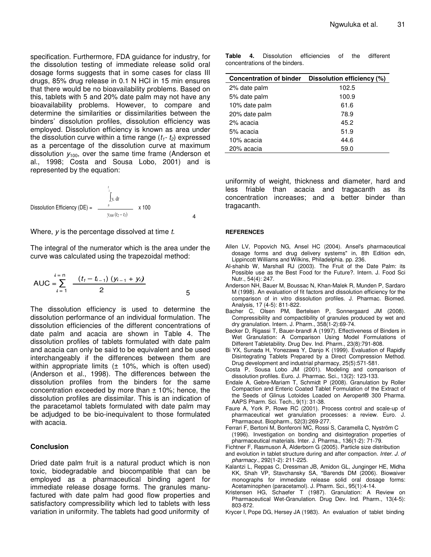specification. Furthermore, FDA guidance for industry, for the dissolution testing of immediate release solid oral dosage forms suggests that in some cases for class III drugs, 85% drug release in 0.1 N HCl in 15 min ensures that there would be no bioavailability problems. Based on this, tablets with 5 and 20% date palm may not have any bioavailability problems. However, to compare and determine the similarities or dissimilarities between the binders' dissolution profiles, dissolution efficiency was employed. Dissolution efficiency is known as area under the dissolution curve within a time range  $(t_1 - t_2)$  expressed as a percentage of the dissolution curve at maximum dissolution *y*100, over the same time frame (Anderson et al., 1998; Costa and Sousa Lobo, 2001) and is represented by the equation:

$$
\text{Dissolution Efficiency (DE)} = \frac{\int_{1}^{2} y \, dt}{\int_{100}^{1} (t_2 - t_1)} \quad \times 100
$$

Where, *y* is the percentage dissolved at time *t.*

The integral of the numerator which is the area under the curve was calculated using the trapezoidal method:

AUC = 
$$
\sum_{i=1}^{i=n}
$$
  $\frac{(t_1 - t_{i-1})(y_{i-1} + y_i)}{2}$  5

The dissolution efficiency is used to determine the dissolution performance of an individual formulation. The dissolution efficiencies of the different concentrations of date palm and acacia are shown in Table 4. The dissolution profiles of tablets formulated with date palm and acacia can only be said to be equivalent and be used interchangeably if the differences between them are within appropriate limits (± 10%, which is often used) (Anderson et al., 1998). The differences between the dissolution profiles from the binders for the same concentration exceeded by more than  $\pm$  10%; hence, the dissolution profiles are dissimilar. This is an indication of the paracetamol tablets formulated with date palm may be adjudged to be bio-inequivalent to those formulated with acacia.

#### **Conclusion**

Dried date palm fruit is a natural product which is non toxic, biodegradable and biocompatible that can be employed as a pharmaceutical binding agent for immediate release dosage forms. The granules manufactured with date palm had good flow properties and satisfactory compressibility which led to tablets with less variation in uniformity. The tablets had good uniformity of

**Table 4.** Dissolution efficiencies of the different concentrations of the binders.

| <b>Concentration of binder</b> | Dissolution efficiency (%) |
|--------------------------------|----------------------------|
| 2% date palm                   | 102.5                      |
| 5% date palm                   | 100.9                      |
| 10% date palm                  | 61.6                       |
| 20% date palm                  | 78.9                       |
| 2% acacia                      | 45.2                       |
| 5% acacia                      | 51.9                       |
| 10% acacia                     | 44.6                       |
| 20% acacia                     | 59.0                       |

uniformity of weight, thickness and diameter, hard and less friable than acacia and tragacanth as its concentration increases; and a better binder than tragacanth.

#### **REFERENCES**

- Allen LV, Popovich NG, Ansel HC (2004). Ansel's pharmaceutical dosage forms and drug delivery systems" in, 8th Edition edn, Lippincott Williams and Wilkins, Philadelphia. pp. 236.
- Al-shahib W, Marshall RJ (2003). The Fruit of the Date Palm: its Possible use as the Best Food for the Future?. Intern. J. Food Sci Nutr., 54(4): 247.
- Anderson NH, Bauer M, Boussac N, Khan-Malek R, Munden P, Sardaro M (1998). An evaluation of fit factors and dissolution efficiency for the comparison of in vitro dissolution profiles. J. Pharmac. Biomed. Analysis*,* 17 (4-5): 811-822.
- Bacher C, Olsen PM, Bertelsen P, Sonnergaard JM (2008). Compressibility and compactibility of granules produced by wet and dry granulation. Intern. J. Pharm., 358(1-2):69-74.
- Becker D, Rigassi T, Bauer-brandl A (1997). Effectiveness of Binders in Wet Granulation: A Comparison Using Model Formulations of Different Tabletability. Drug Dev. Ind. Pharm., 23(8):791-808.
- Bi YX, Sunada H, Yonezawa Y, Danjo K (1999). Evaluation of Rapidly Disintegrating Tablets Prepared by a Direct Compression Method. Drug development and industrial pharmacy, 25(5):571-581.
- Costa P, Sousa Lobo JM (2001). Modeling and comparison of dissolution profiles. Euro. J. Pharmac. Sci., 13(2): 123-133.
- Endale A, Gebre-Mariam T, Schmidt P (2008). Granulation by Roller Compaction and Enteric Coated Tablet Formulation of the Extract of the Seeds of Glinus Lotoides Loaded on Aeroperl® 300 Pharma. AAPS Pharm. Sci. Tech., 9(1): 31-38.
- Faure A, York P, Rowe RC (2001). Process control and scale-up of pharmaceutical wet granulation processes: a review. Euro. J. Pharmaceut. Biopharm., 52(3):269-277.
- Ferrari F, Bertoni M, Bonferoni MC, Rossi S, Caramella C, Nyström C (1996). Investigation on bonding and disintegration properties of pharmaceutical materials. Inter. J. Pharma., 136(1-2): 71-79.
- Fichtner F, Rasmuson Å, Alderborn G (2005). Particle size distribution
- and evolution in tablet structure during and after compaction. *Inter. J. of pharmacy.,* 292(1-2): 211-225.
- Kalantzi L, Reppas C, Dressman JB, Amidon GL, Junginger HE, Midha KK, Shah VP, Stavchansky SA, \*Barends DM (2006). Biowaiver monographs for immediate release solid oral dosage forms: Acetaminophen (paracetamol). J. Pharm. Sci., 95(1):4-14.
- Kristensen HG, Schaefer T (1987). Granulation: A Review on Pharmaceutical Wet-Granulation. Drug Dev. Ind. Pharm., 13(4-5): 803-872.
- Krycer I, Pope DG, Hersey JA (1983). An evaluation of tablet binding